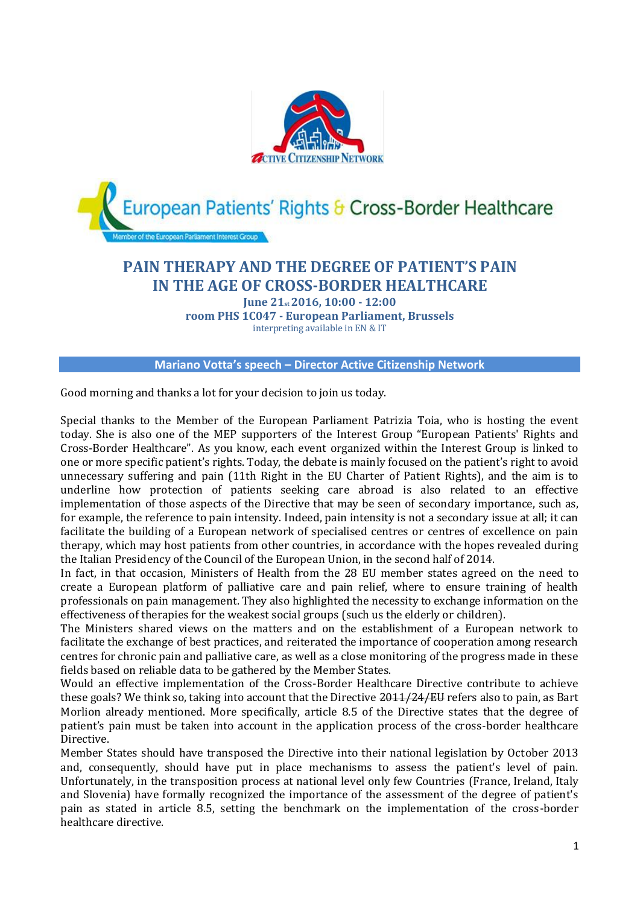

## **PAIN THERAPY AND THE DEGREE OF PATIENT'S PAIN IN THE AGE OF CROSS-BORDER HEALTHCARE**

**June 21st 2016, 10:00 - 12:00 room PHS 1C047 - European Parliament, Brussels** interpreting available in EN & IT

**Mariano Votta's speech – Director Active Citizenship Network**

Good morning and thanks a lot for your decision to join us today.

Special thanks to the Member of the European Parliament [Patrizia Toia, w](http://www.europarl.europa.eu/meps/en/28340/PATRIZIA_TOIA_home.html)ho is hosting the event today. She is also one of the MEP supporters of the Interest Group "European Patients' Rights and Cross-Border Healthcare". As you know, each event organized within the Interest Group is linked to one or more specific patient's rights. Today, the debate is mainly focused on the patient's right to avoid unnecessary suffering and pain (11th Right in the EU Charter of Patient Rights), and the aim is to underline how protection of patients seeking care abroad is also related to an effective implementation of those aspects of the Directive that may be seen of secondary importance, such as, for example, the reference to pain intensity. Indeed, pain intensity is not a secondary issue at all; it can facilitate the building of a European network of specialised centres or centres of excellence on pain therapy, which may host patients from other countries, in accordance with the hopes revealed during the Italian Presidency of the Council of the European Union, in the second half of 2014.

In fact, in that occasion, Ministers of Health from the 28 EU member states agreed on the need to create a European platform of palliative care and pain relief, where to ensure training of health professionals on pain management. They also highlighted the necessity to exchange information on the effectiveness of therapies for the weakest social groups (such us the elderly or children).

The Ministers shared views on the matters and on the establishment of a European network to facilitate the exchange of best practices, and reiterated the importance of cooperation among research centres for chronic pain and palliative care, as well as a close monitoring of the progress made in these fields based on reliable data to be gathered by the Member States.

Would an effective implementation of the Cross-Border Healthcare Directive contribute to achieve these goals? We think so, taking into account that the Directive 2011/24/EU refers also to pain, as Bart Morlion already mentioned. More specifically, article 8.5 of the Directive states that the degree of patient's pain must be taken into account in the application process of the cross-border healthcare Directive.

Member States should have transposed the Directive into their national legislation by October 2013 and, consequently, should have put in place mechanisms to assess the patient's level of pain. Unfortunately, in the transposition process at national level only few Countries (France, Ireland, Italy and Slovenia) have formally recognized the importance of the assessment of the degree of patient's pain as stated in article 8.5, setting the benchmark on the implementation of the cross-border healthcare directive.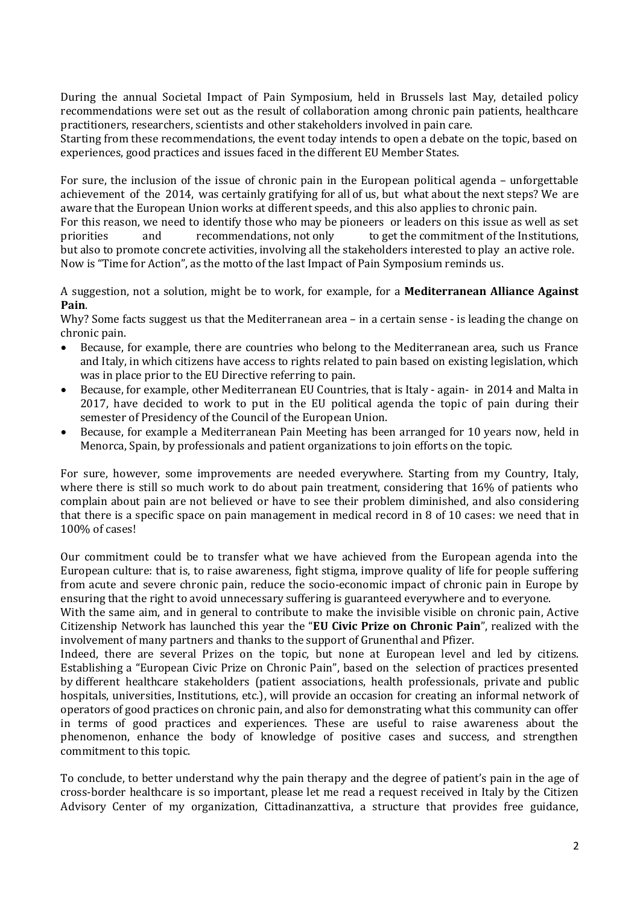During the annual Societal Impact of Pain Symposium, held in Brussels last May, detailed policy recommendations were set out as the result of collaboration among chronic pain patients, healthcare practitioners, researchers, scientists and other stakeholders involved in pain care.

Starting from these recommendations, the event today intends to open a debate on the topic, based on experiences, good practices and issues faced in the different EU Member States.

For sure, the inclusion of the issue of chronic pain in the European political agenda – unforgettable achievement of the 2014, was certainly gratifying for all of us, but what about the next steps? We are aware that the European Union works at different speeds, and this also applies to chronic pain.

For this reason, we need to identify those who may be pioneers or leaders on this issue as well as set priorities and recommendations, not only to get the commitment of the Institutions, but also to promote concrete activities, involving all the stakeholders interested to play an active role. Now is "Time for Action", as the motto of the last Impact of Pain Symposium reminds us.

A suggestion, not a solution, might be to work, for example, for a **Mediterranean Alliance Against Pain**.

Why? Some facts suggest us that the Mediterranean area - in a certain sense - is leading the change on chronic pain.

- Because, for example, there are countries who belong to the Mediterranean area, such us France and Italy, in which citizens have access to rights related to pain based on existing legislation, which was in place prior to the EU Directive referring to pain.
- Because, for example, other Mediterranean EU Countries, that is Italy again- in 2014 and Malta in 2017, have decided to work to put in the EU political agenda the topic of pain during their semester of Presidency of the Council of the European Union.
- Because, for example a Mediterranean Pain Meeting has been arranged for 10 years now, held in Menorca, Spain, by professionals and patient organizations to join efforts on the topic.

For sure, however, some improvements are needed everywhere. Starting from my Country, Italy, where there is still so much work to do about pain treatment, considering that 16% of patients who complain about pain are not believed or have to see their problem diminished, and also considering that there is a specific space on pain management in medical record in 8 of 10 cases: we need that in 100% of cases!

Our commitment could be to transfer what we have achieved from the European agenda into the European culture: that is, to raise awareness, fight stigma, improve quality of life for people suffering from acute and severe chronic pain, reduce the socio-economic impact of chronic pain in Europe by ensuring that the right to avoid unnecessary suffering is guaranteed everywhere and to everyone.

With the same aim, and in general to contribute to make the invisible visible on chronic pain, Active Citizenship Network has launched this year the "**EU Civic Prize on Chronic Pain**", realized with the involvement of many partners and thanks to the support of Grunenthal and Pfizer.

Indeed, there are several Prizes on the topic, but none at European level and led by citizens. Establishing a "European Civic Prize on Chronic Pain", based on the selection of practices presented by different healthcare stakeholders (patient associations, health professionals, private and public hospitals, universities, Institutions, etc.), will provide an occasion for creating an informal network of operators of good practices on chronic pain, and also for demonstrating what this community can offer in terms of good practices and experiences. These are useful to raise awareness about the phenomenon, enhance the body of knowledge of positive cases and success, and strengthen commitment to this topic.

To conclude, to better understand why the pain therapy and the degree of patient's pain in the age of cross-border healthcare is so important, please let me read a request received in Italy by the Citizen Advisory Center of my organization, Cittadinanzattiva, a structure that provides free guidance,